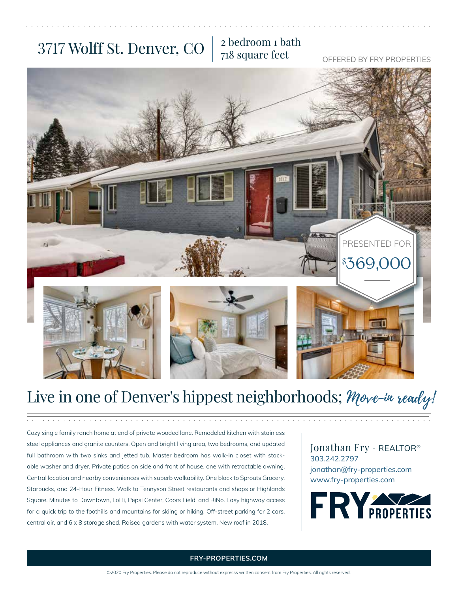### 3717 Wolff St. Denver, CO  $\frac{2 \text{ bedroom 1 bath}}{718 \text{ square feet}}$

# 718 square feet

OFFERED BY FRY PROPERTIES



### Live in one of Denver's hippest neighborhoods; Move-in ready!

Cozy single family ranch home at end of private wooded lane. Remodeled kitchen with stainless steel appliances and granite counters. Open and bright living area, two bedrooms, and updated full bathroom with two sinks and jetted tub. Master bedroom has walk-in closet with stackable washer and dryer. Private patios on side and front of house, one with retractable awning. Central location and nearby conveniences with superb walkability. One block to Sprouts Grocery, Starbucks, and 24-Hour Fitness. Walk to Tennyson Street restaurants and shops or Highlands Square. Minutes to Downtown, LoHi, Pepsi Center, Coors Field, and RiNo. Easy highway access for a quick trip to the foothills and mountains for skiing or hiking. Off-street parking for 2 cars, central air, and 6 x 8 storage shed. Raised gardens with water system. New roof in 2018.

Jonathan Fry - REALTOR® 303.242.2797 jonathan@fry-properties.com www.fry-properties.com



#### **FRY-PROPERTIES.COM**